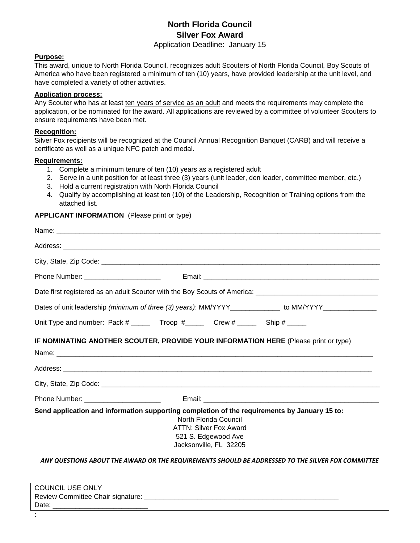# **North Florida Council Silver Fox Award**

Application Deadline: January 15

#### **Purpose:**

This award, unique to North Florida Council, recognizes adult Scouters of North Florida Council, Boy Scouts of America who have been registered a minimum of ten (10) years, have provided leadership at the unit level, and have completed a variety of other activities.

### **Application process:**

Any Scouter who has at least ten years of service as an adult and meets the requirements may complete the application, or be nominated for the award. All applications are reviewed by a committee of volunteer Scouters to ensure requirements have been met.

#### **Recognition:**

Silver Fox recipients will be recognized at the Council Annual Recognition Banquet (CARB) and will receive a certificate as well as a unique NFC patch and medal.

#### **Requirements:**

- 1. Complete a minimum tenure of ten (10) years as a registered adult
- 2. Serve in a unit position for at least three (3) years (unit leader, den leader, committee member, etc.)
- 3. Hold a current registration with North Florida Council
- 4. Qualify by accomplishing at least ten (10) of the Leadership, Recognition or Training options from the attached list.

### **APPLICANT INFORMATION** (Please print or type)

| Dates of unit leadership (minimum of three (3) years): MM/YYYY_____________ to MM/YYYY______________                                                                                                    |
|---------------------------------------------------------------------------------------------------------------------------------------------------------------------------------------------------------|
| Unit Type and number: Pack # _____ Troop # _____ Crew # _____ Ship # _____                                                                                                                              |
| IF NOMINATING ANOTHER SCOUTER, PROVIDE YOUR INFORMATION HERE (Please print or type)                                                                                                                     |
|                                                                                                                                                                                                         |
|                                                                                                                                                                                                         |
|                                                                                                                                                                                                         |
|                                                                                                                                                                                                         |
| Send application and information supporting completion of the requirements by January 15 to:<br>North Florida Council<br><b>ATTN: Silver Fox Award</b><br>521 S. Edgewood Ave<br>Jacksonville, FL 32205 |

*ANY QUESTIONS ABOUT THE AWARD OR THE REQUIREMENTS SHOULD BE ADDRESSED TO THE SILVER FOX COMMITTEE*

| <b>COUNCIL USE ONLY</b>           |  |
|-----------------------------------|--|
| Review Committee Chair signature: |  |
| Date:                             |  |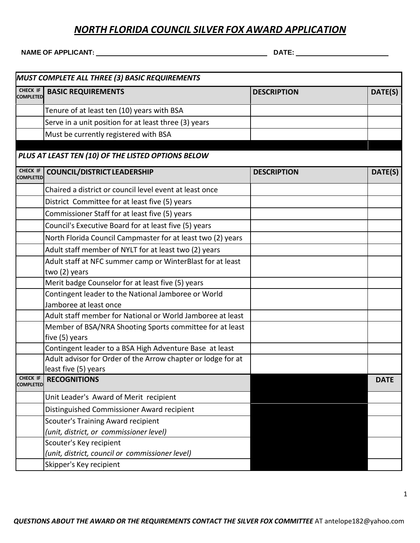### *NORTH FLORIDA COUNCIL SILVER FOX AWARD APPLICATION*

**NAME OF APPLICANT: DATE:**

| MUST COMPLETE ALL THREE (3) BASIC REQUIREMENTS |                                                              |                    |             |  |  |
|------------------------------------------------|--------------------------------------------------------------|--------------------|-------------|--|--|
| CHECK IF<br><b>COMPLETED</b>                   | <b>BASIC REQUIREMENTS</b>                                    | <b>DESCRIPTION</b> | DATE(S)     |  |  |
|                                                | Tenure of at least ten (10) years with BSA                   |                    |             |  |  |
|                                                | Serve in a unit position for at least three (3) years        |                    |             |  |  |
|                                                | Must be currently registered with BSA                        |                    |             |  |  |
|                                                | PLUS AT LEAST TEN (10) OF THE LISTED OPTIONS BELOW           |                    |             |  |  |
| CHECK IF<br><b>COMPLETED</b>                   | <b>COUNCIL/DISTRICT LEADERSHIP</b>                           | <b>DESCRIPTION</b> | DATE(S)     |  |  |
|                                                | Chaired a district or council level event at least once      |                    |             |  |  |
|                                                | District Committee for at least five (5) years               |                    |             |  |  |
|                                                | Commissioner Staff for at least five (5) years               |                    |             |  |  |
|                                                | Council's Executive Board for at least five (5) years        |                    |             |  |  |
|                                                | North Florida Council Campmaster for at least two (2) years  |                    |             |  |  |
|                                                | Adult staff member of NYLT for at least two (2) years        |                    |             |  |  |
|                                                | Adult staff at NFC summer camp or WinterBlast for at least   |                    |             |  |  |
|                                                | two (2) years                                                |                    |             |  |  |
|                                                | Merit badge Counselor for at least five (5) years            |                    |             |  |  |
|                                                | Contingent leader to the National Jamboree or World          |                    |             |  |  |
|                                                | Jamboree at least once                                       |                    |             |  |  |
|                                                | Adult staff member for National or World Jamboree at least   |                    |             |  |  |
|                                                | Member of BSA/NRA Shooting Sports committee for at least     |                    |             |  |  |
|                                                | five (5) years                                               |                    |             |  |  |
|                                                | Contingent leader to a BSA High Adventure Base at least      |                    |             |  |  |
|                                                | Adult advisor for Order of the Arrow chapter or lodge for at |                    |             |  |  |
|                                                | least five (5) years<br>CHECK IF RECOGNITIONS                |                    |             |  |  |
| <b>COMPLETED</b>                               |                                                              |                    | <b>DATE</b> |  |  |
|                                                | Unit Leader's Award of Merit recipient                       |                    |             |  |  |
|                                                | Distinguished Commissioner Award recipient                   |                    |             |  |  |
|                                                | <b>Scouter's Training Award recipient</b>                    |                    |             |  |  |
|                                                | (unit, district, or commissioner level)                      |                    |             |  |  |
|                                                | Scouter's Key recipient                                      |                    |             |  |  |
|                                                | (unit, district, council or commissioner level)              |                    |             |  |  |
|                                                | Skipper's Key recipient                                      |                    |             |  |  |

1